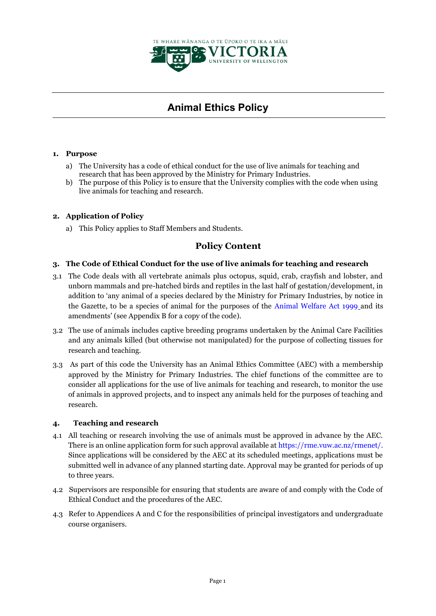

# **Animal Ethics Policy**

# **1. Purpose**

- a) The University has a code of ethical conduct for the use of live animals for teaching and research that has been approved by the Ministry for Primary Industries.
- b) The purpose of this Policy is to ensure that the University complies with the code when using live animals for teaching and research.

# **2. Application of Policy**

a) This Policy applies to Staff Members and Students.

# **Policy Content**

#### **3. The Code of Ethical Conduct for the use of live animals for teaching and research**

- 3.1 The Code deals with all vertebrate animals plus octopus, squid, crab, crayfish and lobster, and unborn mammals and pre-hatched birds and reptiles in the last half of gestation/development, in addition to 'any animal of a species declared by the Ministry for Primary Industries, by notice in the Gazette, to be a species of animal for the purposes of the [Animal Welfare Act 1999](http://www.legislation.govt.nz/) and its amendments' (see Appendix B for a copy of the code).
- 3.2 The use of animals includes captive breeding programs undertaken by the Animal Care Facilities and any animals killed (but otherwise not manipulated) for the purpose of collecting tissues for research and teaching.
- 3.3 As part of this code the University has an Animal Ethics Committee (AEC) with a membership approved by the Ministry for Primary Industries. The chief functions of the committee are to consider all applications for the use of live animals for teaching and research, to monitor the use of animals in approved projects, and to inspect any animals held for the purposes of teaching and research.

#### **4. Teaching and research**

- 4.1 All teaching or research involving the use of animals must be approved in advance by the AEC. There is an online application form for such approval available at [https://rme.vuw.ac.nz/rmenet/.](https://rme.vuw.ac.nz/rmenet/) Since applications will be considered by the AEC at its scheduled meetings, applications must be submitted well in advance of any planned starting date. Approval may be granted for periods of up to three years.
- 4.2 Supervisors are responsible for ensuring that students are aware of and comply with the Code of Ethical Conduct and the procedures of the AEC.
- 4.3 Refer to Appendices A and C for the responsibilities of principal investigators and undergraduate course organisers.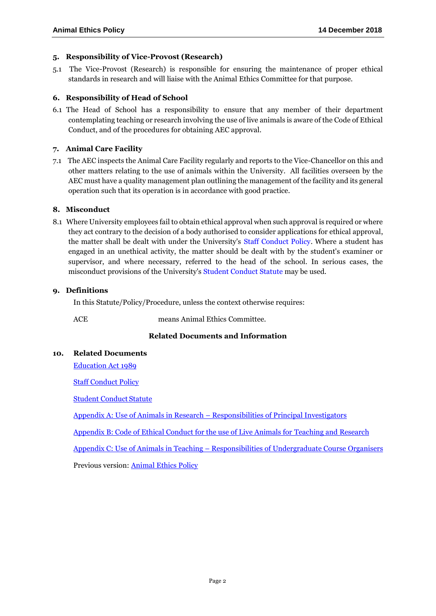#### **5. Responsibility of Vice-Provost (Research)**

5.1 The Vice-Provost (Research) is responsible for ensuring the maintenance of proper ethical standards in research and will liaise with the Animal Ethics Committee for that purpose.

#### **6. Responsibility of Head of School**

6.1 The Head of School has a responsibility to ensure that any member of their department contemplating teaching or research involving the use of live animals is aware of the Code of Ethical Conduct, and of the procedures for obtaining AEC approval.

# **7. Animal Care Facility**

7.1 The AEC inspects the Animal Care Facility regularly and reports to the Vice-Chancellor on this and other matters relating to the use of animals within the University. All facilities overseen by the AEC must have a quality management plan outlining the management of the facility and its general operation such that its operation is in accordance with good practice.

# **8. Misconduct**

8.1 Where University employees fail to obtain ethical approval when such approval is required or where they act contrary to the decision of a body authorised to consider applications for ethical approval, the matter shall be dealt with under the University's [Staff Conduct Policy.](https://www.victoria.ac.nz/documents/policy/staff-policy/conduct-policy.pdf) Where a student has engaged in an unethical activity, the matter should be dealt with by the student's examiner or supervisor, and where necessary, referred to the head of the school. In serious cases, the misconduct provisions of the University's [Student Conduct Statute](https://www.victoria.ac.nz/documents/policy/student-policy/student-conduct-statute.pdf) may be used.

# **9. Definitions**

In this Statute/Policy/Procedure, unless the context otherwise requires:

ACE means Animal Ethics Committee.

# **Related Documents and Information**

#### **10. Related Documents**

[Education Act 1989](http://www.legislation.govt.nz/act/public/1989/0080/latest/DLM175959.html?src=qs)

Staff [Conduct Policy](http://www.victoria.ac.nz/documents/policy/staff-policy/conduct-policy.pdf)

[Student Conduct](http://www.victoria.ac.nz/documents/policy/student-policy/student-conduct-statute.pdf) Statute

Appendix A: Use of Animals in Research – [Responsibilities of Principal Investigators](http://www.victoria.ac.nz/documents/policy/research-policy/animal-ethics-policy-appendix-a.pdf)

[Appendix B: Code of Ethical Conduct for the use of Live Animals for](http://www.victoria.ac.nz/documents/policy/research-policy/animal-ethics-policy-appendix-b.pdf) Teaching and Research

Appendix C: Use of Animals in Teaching – [Responsibilities of Undergraduate Course](http://www.victoria.ac.nz/documents/policy/research-policy/animal-ethics-policy-appendix-c.pdf) [Organisers](http://www.victoria.ac.nz/documents/policy/research-policy/animal-ethics-policy-appendix-c.pdf)

Previous version: [Animal Ethics Policy](https://www.victoria.ac.nz/documents/policy/research-policy/archive/archived-animal-ethics-policy-20190314.pdf)